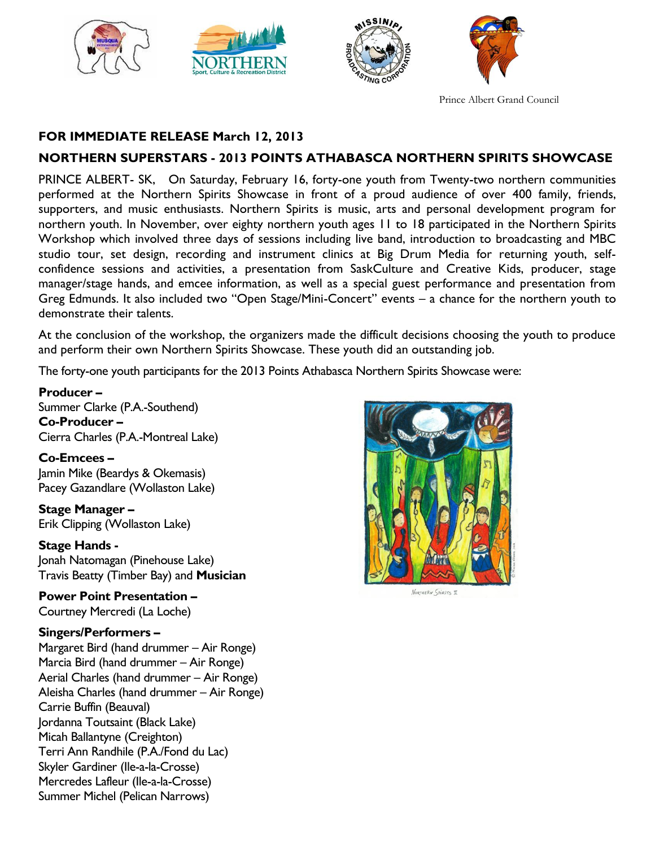



Prince Albert Grand Council

# **FOR IMMEDIATE RELEASE March 12, 2013**

# **NORTHERN SUPERSTARS - 2013 POINTS ATHABASCA NORTHERN SPIRITS SHOWCASE**

PRINCE ALBERT- SK, On Saturday, February 16, forty-one youth from Twenty-two northern communities performed at the Northern Spirits Showcase in front of a proud audience of over 400 family, friends, supporters, and music enthusiasts. Northern Spirits is music, arts and personal development program for northern youth. In November, over eighty northern youth ages 11 to 18 participated in the Northern Spirits Workshop which involved three days of sessions including live band, introduction to broadcasting and MBC studio tour, set design, recording and instrument clinics at Big Drum Media for returning youth, selfconfidence sessions and activities, a presentation from SaskCulture and Creative Kids, producer, stage manager/stage hands, and emcee information, as well as a special guest performance and presentation from Greg Edmunds. It also included two "Open Stage/Mini-Concert" events – a chance for the northern youth to demonstrate their talents.

At the conclusion of the workshop, the organizers made the difficult decisions choosing the youth to produce and perform their own Northern Spirits Showcase. These youth did an outstanding job.

The forty-one youth participants for the 2013 Points Athabasca Northern Spirits Showcase were:

**Producer –** Summer Clarke (P.A.-Southend) **Co-Producer –** Cierra Charles (P.A.-Montreal Lake)

**Co-Emcees –** Jamin Mike (Beardys & Okemasis) Pacey Gazandlare (Wollaston Lake)

**Stage Manager –** Erik Clipping (Wollaston Lake)

**Stage Hands -**

Jonah Natomagan (Pinehouse Lake) Travis Beatty (Timber Bay) and **Musician**

**Power Point Presentation –** Courtney Mercredi (La Loche)

#### **Singers/Performers –**

Margaret Bird (hand drummer – Air Ronge) Marcia Bird (hand drummer – Air Ronge) Aerial Charles (hand drummer – Air Ronge) Aleisha Charles (hand drummer – Air Ronge) Carrie Buffin (Beauval) Jordanna Toutsaint (Black Lake) Micah Ballantyne (Creighton) Terri Ann Randhile (P.A./Fond du Lac) Skyler Gardiner (Ile-a-la-Crosse) Mercredes Lafleur (Ile-a-la-Crosse) Summer Michel (Pelican Narrows)



NORTHERN SPIRITS II